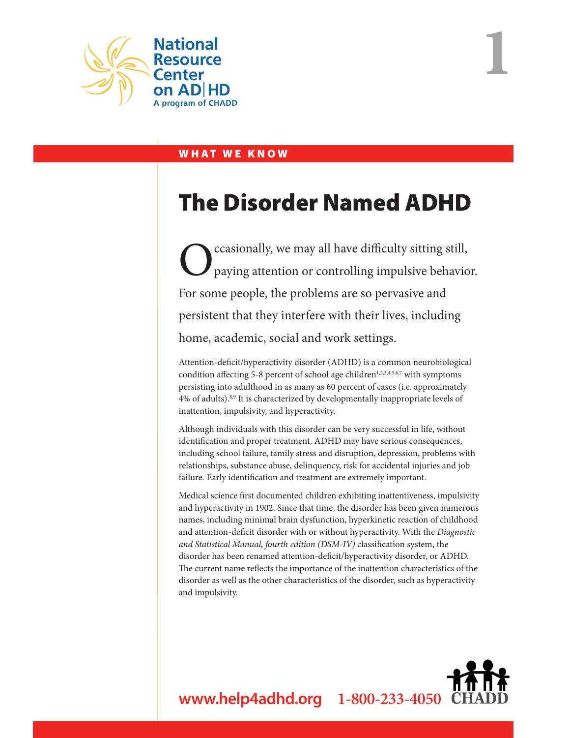

## WHAT WE KNOW

# The Disorder Named ADHD

**1**

ccasionally, we may all have difficulty sitting still, paying attention or controlling impulsive behavior. For some people, the problems are so pervasive and persistent that they interfere with their lives, including home, academic, social and work settings.

Attention-deficit/hyperactivity disorder (ADHD) is a common neurobiological condition affecting 5-8 percent of school age children<sup>1,2,3,4,5,6,7</sup> with symptoms persisting into adulthood in as many as 60 percent of cases (i.e. approximately 4% of adults).<sup>8,9</sup> It is characterized by developmentally inappropriate levels of inattention, impulsivity, and hyperactivity.

Although individuals with this disorder can be very successful in life, without identification and proper treatment, ADHD may have serious consequences, including school failure, family stress and disruption, depression, problems with relationships, substance abuse, delinquency, risk for accidental injuries and job failure. Early identification and treatment are extremely important.

Medical science first documented children exhibiting inattentiveness, impulsivity and hyperactivity in 1902. Since that time, the disorder has been given numerous names, including minimal brain dysfunction, hyperkinetic reaction of childhood and attention-deficit disorder with or without hyperactivity. With the *Diagnostic and Statistical Manual, fourth edition (DSM-IV)* classification system, the disorder has been renamed attention-deficit/hyperactivity disorder, or ADHD. The current name reflects the importance of the inattention characteristics of the disorder as well as the other characteristics of the disorder, such as hyperactivity and impulsivity.

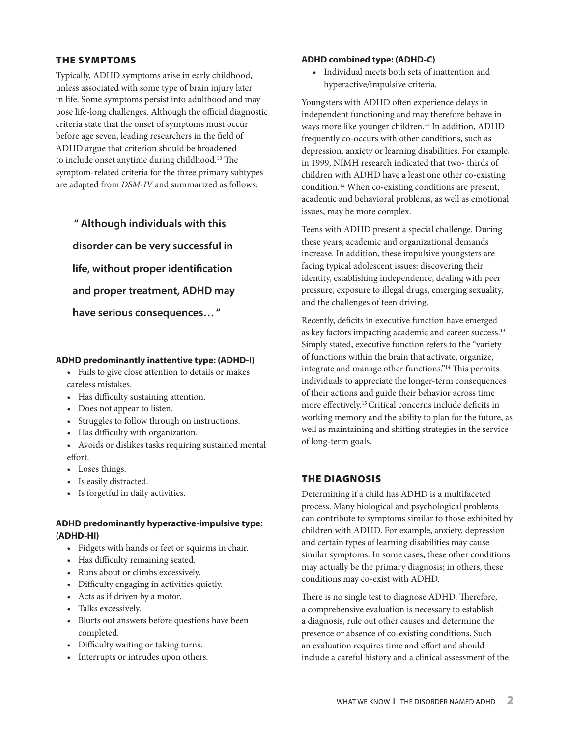## The Symptoms

Typically, ADHD symptoms arise in early childhood, unless associated with some type of brain injury later in life. Some symptoms persist into adulthood and may pose life-long challenges. Although the official diagnostic criteria state that the onset of symptoms must occur before age seven, leading researchers in the field of ADHD argue that criterion should be broadened to include onset anytime during childhood.<sup>10</sup> The symptom-related criteria for the three primary subtypes are adapted from *DSM-IV* and summarized as follows:

 **" Although individuals with this disorder can be very successful in life, without proper identification and proper treatment, ADHD may have serious consequences… "** 

## **ADHD predominantly inattentive type: (ADHD-I)**

• Fails to give close attention to details or makes careless mistakes.

- Has difficulty sustaining attention.
- Does not appear to listen.
- • Struggles to follow through on instructions.
- • Has difficulty with organization.
- • Avoids or dislikes tasks requiring sustained mental effort.
- Loses things.
- • Is easily distracted.
- • Is forgetful in daily activities.

## **ADHD predominantly hyperactive-impulsive type: (ADHD-HI)**

- • Fidgets with hands or feet or squirms in chair.
- Has difficulty remaining seated.
- • Runs about or climbs excessively.
- • Difficulty engaging in activities quietly.
- • Acts as if driven by a motor.
- • Talks excessively.
- • Blurts out answers before questions have been completed.
- • Difficulty waiting or taking turns.
- Interrupts or intrudes upon others.

## **ADHD combined type: (ADHD-C)**

• Individual meets both sets of inattention and hyperactive/impulsive criteria.

Youngsters with ADHD often experience delays in independent functioning and may therefore behave in ways more like younger children.<sup>11</sup> In addition, ADHD frequently co-occurs with other conditions, such as depression, anxiety or learning disabilities. For example, in 1999, NIMH research indicated that two- thirds of children with ADHD have a least one other co-existing condition.12 When co-existing conditions are present, academic and behavioral problems, as well as emotional issues, may be more complex.

Teens with ADHD present a special challenge. During these years, academic and organizational demands increase. In addition, these impulsive youngsters are facing typical adolescent issues: discovering their identity, establishing independence, dealing with peer pressure, exposure to illegal drugs, emerging sexuality, and the challenges of teen driving.

Recently, deficits in executive function have emerged as key factors impacting academic and career success.<sup>13</sup> Simply stated, executive function refers to the "variety of functions within the brain that activate, organize, integrate and manage other functions."14 This permits individuals to appreciate the longer-term consequences of their actions and guide their behavior across time more effectively.15 Critical concerns include deficits in working memory and the ability to plan for the future, as well as maintaining and shifting strategies in the service of long-term goals.

## The Diagnosis

Determining if a child has ADHD is a multifaceted process. Many biological and psychological problems can contribute to symptoms similar to those exhibited by children with ADHD. For example, anxiety, depression and certain types of learning disabilities may cause similar symptoms. In some cases, these other conditions may actually be the primary diagnosis; in others, these conditions may co-exist with ADHD.

There is no single test to diagnose ADHD. Therefore, a comprehensive evaluation is necessary to establish a diagnosis, rule out other causes and determine the presence or absence of co-existing conditions. Such an evaluation requires time and effort and should include a careful history and a clinical assessment of the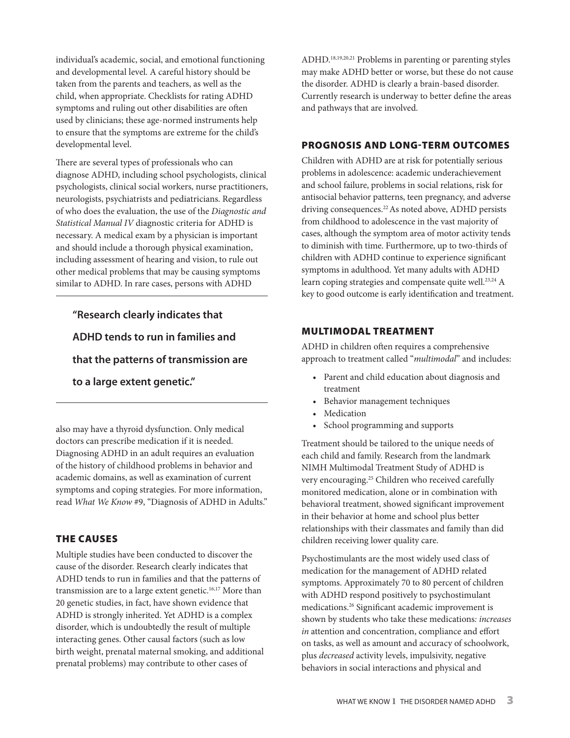individual's academic, social, and emotional functioning and developmental level. A careful history should be taken from the parents and teachers, as well as the child, when appropriate. Checklists for rating ADHD symptoms and ruling out other disabilities are often used by clinicians; these age-normed instruments help to ensure that the symptoms are extreme for the child's developmental level.

There are several types of professionals who can diagnose ADHD, including school psychologists, clinical psychologists, clinical social workers, nurse practitioners, neurologists, psychiatrists and pediatricians. Regardless of who does the evaluation, the use of the *Diagnostic and Statistical Manual IV* diagnostic criteria for ADHD is necessary. A medical exam by a physician is important and should include a thorough physical examination, including assessment of hearing and vision, to rule out other medical problems that may be causing symptoms similar to ADHD. In rare cases, persons with ADHD

**"Research clearly indicates that ADHD tends to run in families and that the patterns of transmission are to a large extent genetic."** 

also may have a thyroid dysfunction. Only medical doctors can prescribe medication if it is needed. Diagnosing ADHD in an adult requires an evaluation of the history of childhood problems in behavior and academic domains, as well as examination of current symptoms and coping strategies. For more information, read *What We Know* #9, "Diagnosis of ADHD in Adults."

## The Causes

Multiple studies have been conducted to discover the cause of the disorder. Research clearly indicates that ADHD tends to run in families and that the patterns of transmission are to a large extent genetic.<sup>16,17</sup> More than 20 genetic studies, in fact, have shown evidence that ADHD is strongly inherited. Yet ADHD is a complex disorder, which is undoubtedly the result of multiple interacting genes. Other causal factors (such as low birth weight, prenatal maternal smoking, and additional prenatal problems) may contribute to other cases of

ADHD.18,19,20,21 Problems in parenting or parenting styles may make ADHD better or worse, but these do not cause the disorder. ADHD is clearly a brain-based disorder. Currently research is underway to better define the areas and pathways that are involved.

## Prognosis and Long-term Outcomes

Children with ADHD are at risk for potentially serious problems in adolescence: academic underachievement and school failure, problems in social relations, risk for antisocial behavior patterns, teen pregnancy, and adverse driving consequences.<sup>22</sup> As noted above, ADHD persists from childhood to adolescence in the vast majority of cases, although the symptom area of motor activity tends to diminish with time. Furthermore, up to two-thirds of children with ADHD continue to experience significant symptoms in adulthood. Yet many adults with ADHD learn coping strategies and compensate quite well.<sup>23,24</sup> A key to good outcome is early identification and treatment.

### Multimodal Treatment

ADHD in children often requires a comprehensive approach to treatment called "*multimodal*" and includes:

- • Parent and child education about diagnosis and treatment
- • Behavior management techniques
- Medication
- • School programming and supports

Treatment should be tailored to the unique needs of each child and family. Research from the landmark NIMH Multimodal Treatment Study of ADHD is very encouraging.25 Children who received carefully monitored medication, alone or in combination with behavioral treatment, showed significant improvement in their behavior at home and school plus better relationships with their classmates and family than did children receiving lower quality care.

Psychostimulants are the most widely used class of medication for the management of ADHD related symptoms. Approximately 70 to 80 percent of children with ADHD respond positively to psychostimulant medications.26 Significant academic improvement is shown by students who take these medications*: increases in* attention and concentration, compliance and effort on tasks, as well as amount and accuracy of schoolwork, plus *decreased* activity levels, impulsivity, negative behaviors in social interactions and physical and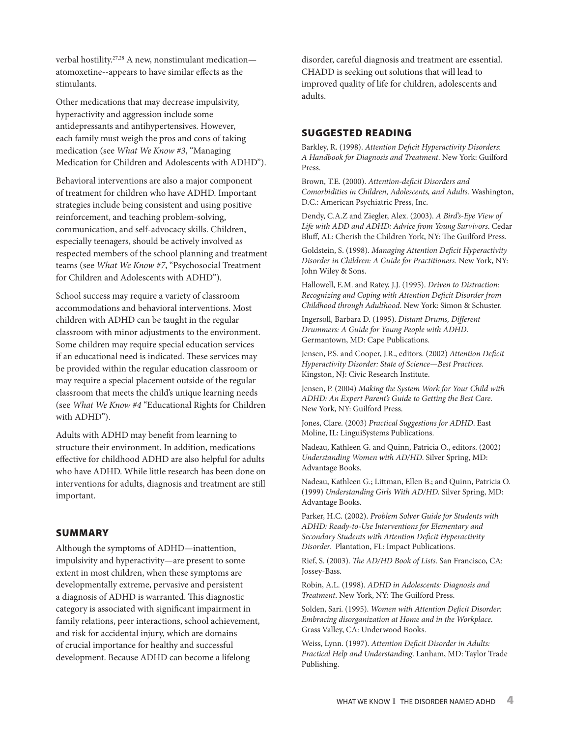verbal hostility.27,28 A new, nonstimulant medication atomoxetine--appears to have similar effects as the stimulants.

Other medications that may decrease impulsivity, hyperactivity and aggression include some antidepressants and antihypertensives. However, each family must weigh the pros and cons of taking medication (see *What We Know #3*, "Managing Medication for Children and Adolescents with ADHD").

Behavioral interventions are also a major component of treatment for children who have ADHD. Important strategies include being consistent and using positive reinforcement, and teaching problem-solving, communication, and self-advocacy skills. Children, especially teenagers, should be actively involved as respected members of the school planning and treatment teams (see *What We Know #7*, "Psychosocial Treatment for Children and Adolescents with ADHD").

School success may require a variety of classroom accommodations and behavioral interventions. Most children with ADHD can be taught in the regular classroom with minor adjustments to the environment. Some children may require special education services if an educational need is indicated. These services may be provided within the regular education classroom or may require a special placement outside of the regular classroom that meets the child's unique learning needs (see *What We Know #4* "Educational Rights for Children with ADHD").

Adults with ADHD may benefit from learning to structure their environment. In addition, medications effective for childhood ADHD are also helpful for adults who have ADHD. While little research has been done on interventions for adults, diagnosis and treatment are still important.

#### **SUMMARY**

Although the symptoms of ADHD—inattention, impulsivity and hyperactivity—are present to some extent in most children, when these symptoms are developmentally extreme, pervasive and persistent a diagnosis of ADHD is warranted. This diagnostic category is associated with significant impairment in family relations, peer interactions, school achievement, and risk for accidental injury, which are domains of crucial importance for healthy and successful development. Because ADHD can become a lifelong

disorder, careful diagnosis and treatment are essential. CHADD is seeking out solutions that will lead to improved quality of life for children, adolescents and adults.

### Suggested reading

Barkley, R. (1998). *Attention Deficit Hyperactivity Disorders*: *A Handbook for Diagnosis and Treatment*. New York: Guilford Press.

Brown, T.E. (2000). *Attention-deficit Disorders and Comorbidities in Children, Adolescents, and Adults.* Washington, D.C.: American Psychiatric Press, Inc.

Dendy, C.A.Z and Ziegler, Alex. (2003). *A Bird's-Eye View of Life with ADD and ADHD: Advice from Young Survivors*. Cedar Bluff, AL: Cherish the Children York, NY: The Guilford Press.

Goldstein, S. (1998). *Managing Attention Deficit Hyperactivity Disorder in Children: A Guide for Practitioners*. New York, NY: John Wiley & Sons.

Hallowell, E.M. and Ratey, J.J. (1995). *Driven to Distraction: Recognizing and Coping with Attention Deficit Disorder from Childhood through Adulthood*. New York: Simon & Schuster.

Ingersoll, Barbara D. (1995). *Distant Drums, Different Drummers: A Guide for Young People with ADHD*. Germantown, MD: Cape Publications.

Jensen, P.S. and Cooper, J.R., editors. (2002) *Attention Deficit Hyperactivity Disorder: State of Science—Best Practices*. Kingston, NJ: Civic Research Institute.

Jensen, P. (2004) *Making the System Work for Your Child with ADHD: An Expert Parent's Guide to Getting the Best Care.* New York, NY: Guilford Press.

Jones, Clare. (2003) *Practical Suggestions for ADHD*. East Moline, IL: LinguiSystems Publications.

Nadeau, Kathleen G. and Quinn, Patricia O., editors. (2002) *Understanding Women with AD/HD*. Silver Spring, MD: Advantage Books.

Nadeau, Kathleen G.; Littman, Ellen B.; and Quinn, Patricia O. (1999) *Understanding Girls With AD/HD.* Silver Spring, MD: Advantage Books.

Parker, H.C. (2002). *Problem Solver Guide for Students with ADHD: Ready-to-Use Interventions for Elementary and Secondary Students with Attention Deficit Hyperactivity Disorder.* Plantation, FL: Impact Publications.

Rief, S. (2003). *The AD/HD Book of Lists.* San Francisco, CA: Jossey-Bass.

Robin, A.L. (1998). *ADHD in Adolescents: Diagnosis and Treatment*. New York, NY: The Guilford Press.

Solden, Sari. (1995). *Women with Attention Deficit Disorder: Embracing disorganization at Home and in the Workplace*. Grass Valley, CA: Underwood Books.

Weiss, Lynn. (1997). *Attention Deficit Disorder in Adults: Practical Help and Understanding*. Lanham, MD: Taylor Trade Publishing.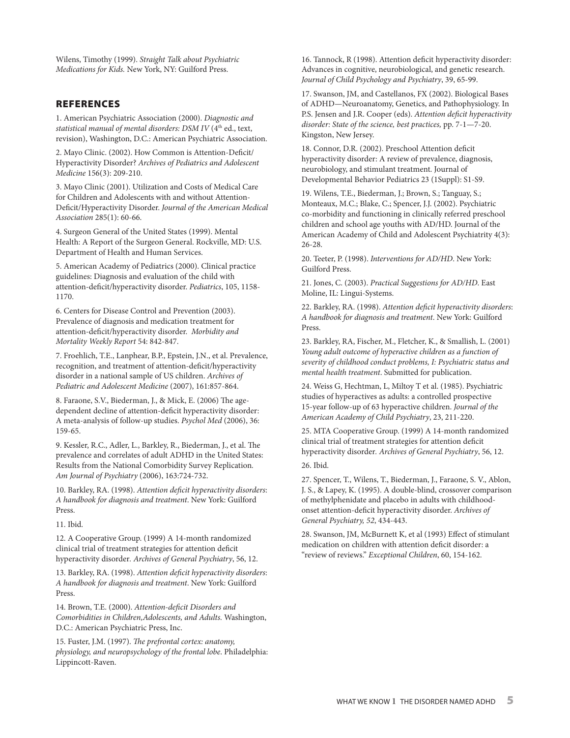Wilens, Timothy (1999). *Straight Talk about Psychiatric Medications for Kids.* New York, NY: Guilford Press.

### REFERENCES

1. American Psychiatric Association (2000). *Diagnostic and*  statistical manual of mental disorders: DSM IV (4<sup>th</sup> ed., text, revision), Washington, D.C.: American Psychiatric Association.

2. Mayo Clinic. (2002). How Common is Attention-Deficit/ Hyperactivity Disorder? *Archives of Pediatrics and Adolescent Medicine* 156(3): 209-210.

3. Mayo Clinic (2001). Utilization and Costs of Medical Care for Children and Adolescents with and without Attention-Deficit/Hyperactivity Disorder. *Journal of the American Medical Association* 285(1): 60-66.

4. Surgeon General of the United States (1999). Mental Health: A Report of the Surgeon General. Rockville, MD: U.S. Department of Health and Human Services.

5. American Academy of Pediatrics (2000). Clinical practice guidelines: Diagnosis and evaluation of the child with attention-deficit/hyperactivity disorder. *Pediatrics*, 105, 1158- 1170.

6. Centers for Disease Control and Prevention (2003). Prevalence of diagnosis and medication treatment for attention-deficit/hyperactivity disorder. *Morbidity and Mortality Weekly Report* 54: 842-847.

7. Froehlich, T.E., Lanphear, B.P., Epstein, J.N., et al. Prevalence, recognition, and treatment of attention-deficit/hyperactivity disorder in a national sample of US children. *Archives of Pediatric and Adolescent Medicine* (2007), 161:857-864.

8. Faraone, S.V., Biederman, J., & Mick, E. (2006) The agedependent decline of attention-deficit hyperactivity disorder: A meta-analysis of follow-up studies. *Psychol Med* (2006), 36: 159-65.

9. Kessler, R.C., Adler, L., Barkley, R., Biederman, J., et al. The prevalence and correlates of adult ADHD in the United States: Results from the National Comorbidity Survey Replication*. Am Journal of Psychiatry* (2006), 163:724-732.

10. Barkley, RA. (1998). *Attention deficit hyperactivity disorders*: *A handbook for diagnosis and treatment*. New York: Guilford Press.

11. Ibid.

12. A Cooperative Group. (1999) A 14-month randomized clinical trial of treatment strategies for attention deficit hyperactivity disorder*. Archives of General Psychiatry*, 56, 12.

13. Barkley, RA. (1998). *Attention deficit hyperactivity disorders*: *A handbook for diagnosis and treatment*. New York: Guilford Press.

14. Brown, T.E. (2000). *Attention-deficit Disorders and Comorbidities in Children,Adolescents, and Adults.* Washington, D.C.: American Psychiatric Press, Inc.

15. Fuster, J.M. (1997). *The prefrontal cortex: anatomy, physiology, and neuropsychology of the frontal lobe*. Philadelphia: Lippincott-Raven.

16. Tannock, R (1998). Attention deficit hyperactivity disorder: Advances in cognitive, neurobiological, and genetic research. *Journal of Child Psychology and Psychiatry*, 39, 65-99.

17. Swanson, JM, and Castellanos, FX (2002). Biological Bases of ADHD—Neuroanatomy, Genetics, and Pathophysiology. In P.S. Jensen and J.R. Cooper (eds). *Attention deficit hyperactivity disorder: State of the science, best practices,* pp. 7-1—7-20. Kingston, New Jersey.

18. Connor, D.R. (2002). Preschool Attention deficit hyperactivity disorder: A review of prevalence, diagnosis, neurobiology, and stimulant treatment. Journal of Developmental Behavior Pediatrics 23 (1Suppl): S1-S9.

19. Wilens, T.E., Biederman, J.; Brown, S.; Tanguay, S.; Monteaux, M.C.; Blake, C.; Spencer, J.J. (2002). Psychiatric co-morbidity and functioning in clinically referred preschool children and school age youths with AD/HD. Journal of the American Academy of Child and Adolescent Psychiatrity 4(3): 26-28.

20. Teeter, P. (1998). *Interventions for AD/HD*. New York: Guilford Press.

21. Jones, C. (2003). *Practical Suggestions for AD/HD*. East Moline, IL: Lingui-Systems.

22. Barkley, RA. (1998). *Attention deficit hyperactivity disorders*: *A handbook for diagnosis and treatment*. New York: Guilford Press.

23. Barkley, RA, Fischer, M., Fletcher, K., & Smallish, L. (2001) *Young adult outcome of hyperactive children as a function of severity of childhood conduct problems, I: Psychiatric status and mental health treatment*. Submitted for publication.

24. Weiss G, Hechtman, L, Miltoy T et al. (1985). Psychiatric studies of hyperactives as adults: a controlled prospective 15-year follow-up of 63 hyperactive children. *Journal of the American Academy of Child Psychiatry*, 23, 211-220.

25. MTA Cooperative Group. (1999) A 14-month randomized clinical trial of treatment strategies for attention deficit hyperactivity disorder*. Archives of General Psychiatry*, 56, 12.

26. Ibid.

27. Spencer, T., Wilens, T., Biederman, J., Faraone, S. V., Ablon, J. S., & Lapey, K. (1995). A double-blind, crossover comparison of methylphenidate and placebo in adults with childhoodonset attention-deficit hyperactivity disorder. *Archives of General Psychiatry, 52*, 434-443.

28. Swanson, JM, McBurnett K, et al (1993) Effect of stimulant medication on children with attention deficit disorder: a "review of reviews." *Exceptional Children*, 60, 154-162.